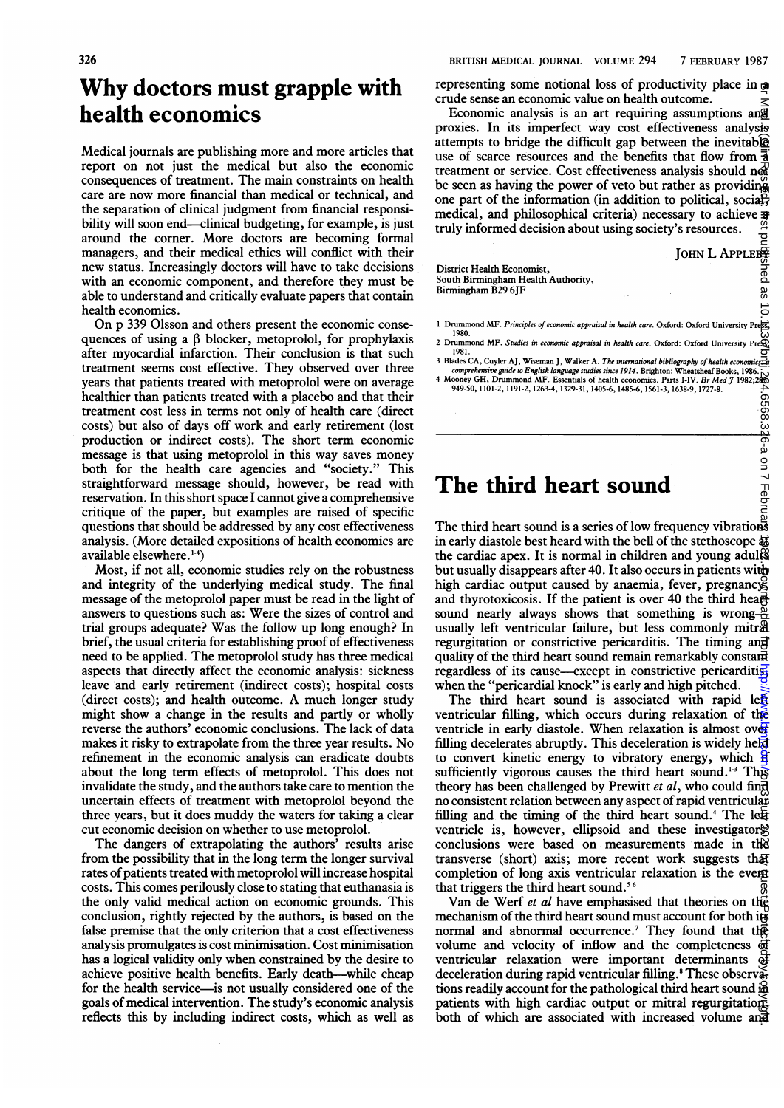## Why doctors must grapple with health economics

Medical journals are publishing more and more articles that report on not just the medical but also the economic consequences of treatment. The main constraints on health care are now more financial than medical or technical, and the separation of clinical judgment from financial responsibility will soon end—clinical budgeting, for example, is just around the corner. More doctors are becoming formal managers, and their medical ethics will conflict with their new status. Increasingly doctors will have to take decisions with an economic component, and therefore they must be able to understand and critically evaluate papers that contain health economics.

On p 339 Olsson and others present the economic consequences of using a  $\beta$  blocker, metoprolol, for prophylaxis after myocardial infarction. Their conclusion is that such treatment seems cost effective. They observed over three years that patients treated with metoprolol were on average healthier than patients treated with a placebo and that their treatment cost less in terms not only of health care (direct costs) but also of days off work and early retirement (lost production or indirect costs). The short term economic message is that using metoprolol in this way saves money both for the health care agencies and "society." This straightforward message should, however, be read with reservation. In this short space I cannot give a comprehensive critique of the paper, but examples are raised of specific questions that should be addressed by any cost effectiveness analysis. (More detailed expositions of health economics are available elsewhere.<sup>1-4</sup>)

Most, if not all, economic studies rely on the robustness and integrity of the underlying medical study. The final message of the metoprolol paper must be read in the light of answers to questions such as: Were the sizes of control and trial groups adequate? Was the follow up long enough? In brief, the usual criteria for establishing proof of effectiveness need to be applied. The metoprolol study has three medical aspects that directly affect the economic analysis: sickness leave and early retirement (indirect costs); hospital costs (direct costs); and health outcome. A much longer study might show a change in the results and partly or wholly reverse the authors' economic conclusions. The lack of data makes it risky to extrapolate from the three year results. No refinement in the economic analysis can eradicate doubts about the long term effects of metoprolol. This does not invalidate the study, and the authors take care to mention the uncertain effects of treatment with metoprolol beyond the three years, but it does muddy the waters for taking a clear cut economic decision on whether to use metoprolol.

The dangers of extrapolating the authors' results arise from the possibility that in the long term the longer survival rates of patients treated with metoprolol will increase hospital costs. This comes perilously close to stating that euthanasia is the only valid medical action on economic grounds. This conclusion, rightly rejected by the authors, is based on the false premise that the only criterion that a cost effectiveness analysis promulgates is cost minimisation. Cost minimisation has a logical validity only when constrained by the desire to achieve positive health benefits. Early death-while cheap for the health service— is not usually considered one of the goals of medical intervention. The study's economic analysis reflects this by including indirect costs, which as well as

representing some notional loss of productivity place in a crude sense an economic value on health outcome.

Economic analysis is an art requiring assumptions and proxies. In its imperfect way cost effectiveness analysis attempts to bridge the difficult gap between the inevitable use of scarce resources and the benefits that flow from  $\frac{1}{3}$ treatment or service. Cost effectiveness analysis should not be seen as having the power of veto but rather as providing one part of the information (in addition to political, socialmedical, and philosophical criteria) necessary to achieve a truly informed decision about using society's resources.

JOHN L APPLERY<br>
TO BE SPRING

District Health Economist, South Birmingham Health Authority, Birmingham B29 6JF

1 Drummond MF. Principles of economic appraisal in health care. Oxford: Oxford University Press,

1980. <sup>2</sup> Drummond MF. Studies in economic appraisal in health care. Oxford: Oxford University Press, 1981.<br>3 Blades CA, Cuyler AJ, Wiseman J, Walker A. The international bibliography of health economics: 2a

*comprehensive guide to English language studies since 1914.* Brighton: Wheatsheaf Books, 1986. i.y.<br>4 Mooney GH, Drummond MF. Essentials of health economics. Parts I-IV. Br Med J 1982;2826<br>949-50, 1101-2, 1191-2, 1263-4,

## The third heart sound

The third heart sound is a series of low frequency vibrations in early diastole best heard with the bell of the stethoscope at the cardiac apex. It is normal in children and young adults but usually disappears after 40. It also occurs in patients with high cardiac output caused by anaemia, fever, pregnancy and thyrotoxicosis. If the patient is over 40 the third hea $\vec{r}$ sound nearly always shows that something is wrong- $\frac{36}{5}$ usually left ventricular failure, but less commonly mitral regurgitation or constrictive pericarditis. The timing and quality of the third heart sound remain remarkably constant regardless of its cause—except in constrictive pericarditis, when the "pericardial knock" is early and high pitched.

The third heart sound is associated with rapid left ventricular filling, which occurs during relaxation of the ventricle in early diastole. When relaxation is almost over filling decelerates abruptly. This deceleration is widely held to convert kinetic energy to vibratory energy, which  $f$ sufficiently vigorous causes the third heart sound.<sup>1-3</sup> This theory has been challenged by Prewitt et al, who could find no consistent relation between any aspect of rapid ventricular filling and the timing of the third heart sound.<sup>4</sup> The left ventricle is, however, ellipsoid and these investigators conclusions were based on measurements made in the transverse (short) axis; more recent work suggests that completion of long axis ventricular relaxation is the event that triggers the third heart sound.<sup>56</sup> representing some homotonic rose on the<br>distribution is a method sense an economic value on health outcome.<br>
Theoretical stars are commic value on health outcome.<br>
Theoretical stars are commic value on health outcome is a

Van de Werf et al have emphasised that theories on the mechanism of the third heart sound must account for both its normal and abnormal occurrence.<sup>7</sup> They found that the volume and velocity of inflow and the completeness ventricular relaxation were important determinants of deceleration during rapid ventricular filling.<sup>8</sup> These observations readily account for the pathological third heart sound in patients with high cardiac output or mitral regurgitation,